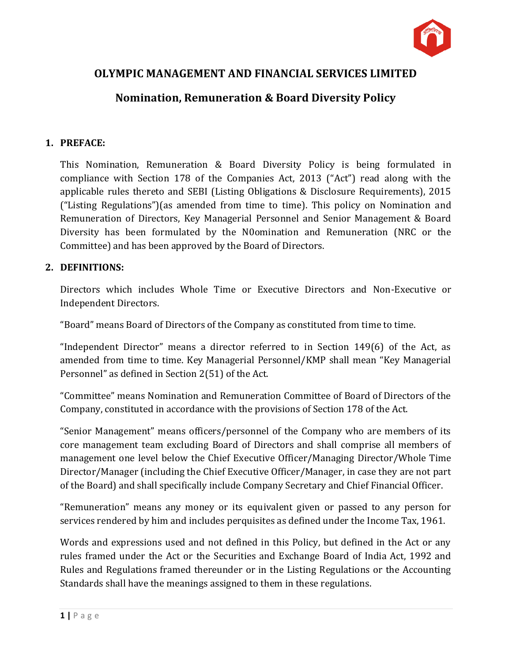

# **OLYMPIC MANAGEMENT AND FINANCIAL SERVICES LIMITED**

# **Nomination, Remuneration & Board Diversity Policy**

#### **1. PREFACE:**

This Nomination, Remuneration & Board Diversity Policy is being formulated in compliance with Section 178 of the Companies Act, 2013 ("Act") read along with the applicable rules thereto and SEBI (Listing Obligations & Disclosure Requirements), 2015 ("Listing Regulations")(as amended from time to time). This policy on Nomination and Remuneration of Directors, Key Managerial Personnel and Senior Management & Board Diversity has been formulated by the N0omination and Remuneration (NRC or the Committee) and has been approved by the Board of Directors.

#### **2. DEFINITIONS:**

Directors which includes Whole Time or Executive Directors and Non-Executive or Independent Directors.

"Board" means Board of Directors of the Company as constituted from time to time.

"Independent Director" means a director referred to in Section 149(6) of the Act, as amended from time to time. Key Managerial Personnel/KMP shall mean "Key Managerial Personnel" as defined in Section 2(51) of the Act.

"Committee" means Nomination and Remuneration Committee of Board of Directors of the Company, constituted in accordance with the provisions of Section 178 of the Act.

"Senior Management" means officers/personnel of the Company who are members of its core management team excluding Board of Directors and shall comprise all members of management one level below the Chief Executive Officer/Managing Director/Whole Time Director/Manager (including the Chief Executive Officer/Manager, in case they are not part of the Board) and shall specifically include Company Secretary and Chief Financial Officer.

"Remuneration" means any money or its equivalent given or passed to any person for services rendered by him and includes perquisites as defined under the Income Tax, 1961.

Words and expressions used and not defined in this Policy, but defined in the Act or any rules framed under the Act or the Securities and Exchange Board of India Act, 1992 and Rules and Regulations framed thereunder or in the Listing Regulations or the Accounting Standards shall have the meanings assigned to them in these regulations.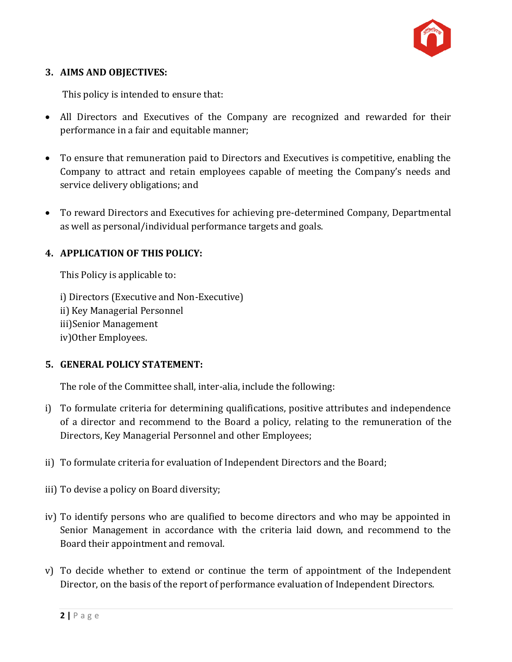

#### **3. AIMS AND OBJECTIVES:**

This policy is intended to ensure that:

- All Directors and Executives of the Company are recognized and rewarded for their performance in a fair and equitable manner;
- To ensure that remuneration paid to Directors and Executives is competitive, enabling the Company to attract and retain employees capable of meeting the Company's needs and service delivery obligations; and
- To reward Directors and Executives for achieving pre-determined Company, Departmental as well as personal/individual performance targets and goals.

## **4. APPLICATION OF THIS POLICY:**

This Policy is applicable to:

i) Directors (Executive and Non-Executive) ii) Key Managerial Personnel iii)Senior Management iv)Other Employees.

#### **5. GENERAL POLICY STATEMENT:**

The role of the Committee shall, inter-alia, include the following:

- i) To formulate criteria for determining qualifications, positive attributes and independence of a director and recommend to the Board a policy, relating to the remuneration of the Directors, Key Managerial Personnel and other Employees;
- ii) To formulate criteria for evaluation of Independent Directors and the Board;
- iii) To devise a policy on Board diversity;
- iv) To identify persons who are qualified to become directors and who may be appointed in Senior Management in accordance with the criteria laid down, and recommend to the Board their appointment and removal.
- v) To decide whether to extend or continue the term of appointment of the Independent Director, on the basis of the report of performance evaluation of Independent Directors.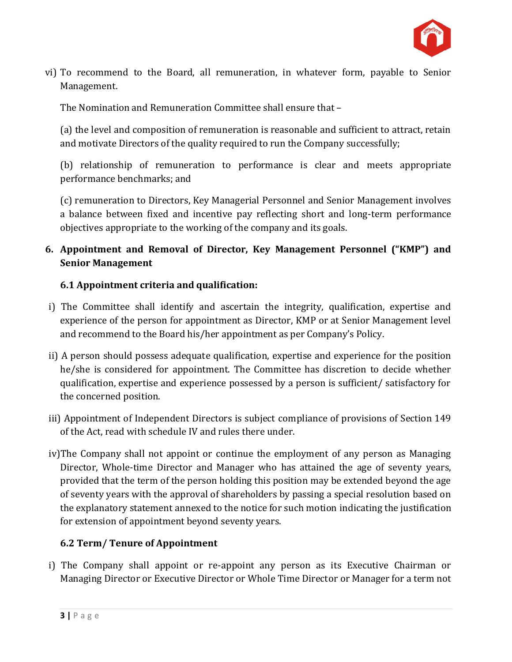

vi) To recommend to the Board, all remuneration, in whatever form, payable to Senior Management.

The Nomination and Remuneration Committee shall ensure that –

(a) the level and composition of remuneration is reasonable and sufficient to attract, retain and motivate Directors of the quality required to run the Company successfully;

(b) relationship of remuneration to performance is clear and meets appropriate performance benchmarks; and

(c) remuneration to Directors, Key Managerial Personnel and Senior Management involves a balance between fixed and incentive pay reflecting short and long-term performance objectives appropriate to the working of the company and its goals.

# **6. Appointment and Removal of Director, Key Management Personnel ("KMP") and Senior Management**

## **6.1 Appointment criteria and qualification:**

- i) The Committee shall identify and ascertain the integrity, qualification, expertise and experience of the person for appointment as Director, KMP or at Senior Management level and recommend to the Board his/her appointment as per Company's Policy.
- ii) A person should possess adequate qualification, expertise and experience for the position he/she is considered for appointment. The Committee has discretion to decide whether qualification, expertise and experience possessed by a person is sufficient/ satisfactory for the concerned position.
- iii) Appointment of Independent Directors is subject compliance of provisions of Section 149 of the Act, read with schedule IV and rules there under.
- iv)The Company shall not appoint or continue the employment of any person as Managing Director, Whole-time Director and Manager who has attained the age of seventy years, provided that the term of the person holding this position may be extended beyond the age of seventy years with the approval of shareholders by passing a special resolution based on the explanatory statement annexed to the notice for such motion indicating the justification for extension of appointment beyond seventy years.

## **6.2 Term/ Tenure of Appointment**

i) The Company shall appoint or re-appoint any person as its Executive Chairman or Managing Director or Executive Director or Whole Time Director or Manager for a term not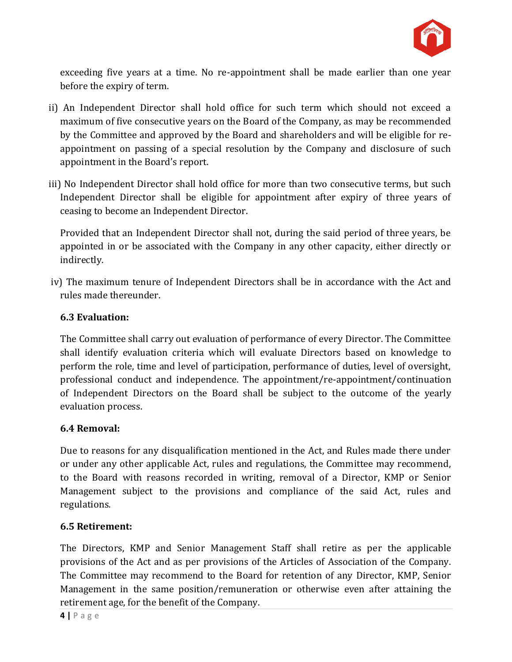

exceeding five years at a time. No re-appointment shall be made earlier than one year before the expiry of term.

- ii) An Independent Director shall hold office for such term which should not exceed a maximum of five consecutive years on the Board of the Company, as may be recommended by the Committee and approved by the Board and shareholders and will be eligible for reappointment on passing of a special resolution by the Company and disclosure of such appointment in the Board's report.
- iii) No Independent Director shall hold office for more than two consecutive terms, but such Independent Director shall be eligible for appointment after expiry of three years of ceasing to become an Independent Director.

Provided that an Independent Director shall not, during the said period of three years, be appointed in or be associated with the Company in any other capacity, either directly or indirectly.

iv) The maximum tenure of Independent Directors shall be in accordance with the Act and rules made thereunder.

## **6.3 Evaluation:**

The Committee shall carry out evaluation of performance of every Director. The Committee shall identify evaluation criteria which will evaluate Directors based on knowledge to perform the role, time and level of participation, performance of duties, level of oversight, professional conduct and independence. The appointment/re-appointment/continuation of Independent Directors on the Board shall be subject to the outcome of the yearly evaluation process.

#### **6.4 Removal:**

Due to reasons for any disqualification mentioned in the Act, and Rules made there under or under any other applicable Act, rules and regulations, the Committee may recommend, to the Board with reasons recorded in writing, removal of a Director, KMP or Senior Management subject to the provisions and compliance of the said Act, rules and regulations.

## **6.5 Retirement:**

The Directors, KMP and Senior Management Staff shall retire as per the applicable provisions of the Act and as per provisions of the Articles of Association of the Company. The Committee may recommend to the Board for retention of any Director, KMP, Senior Management in the same position/remuneration or otherwise even after attaining the retirement age, for the benefit of the Company.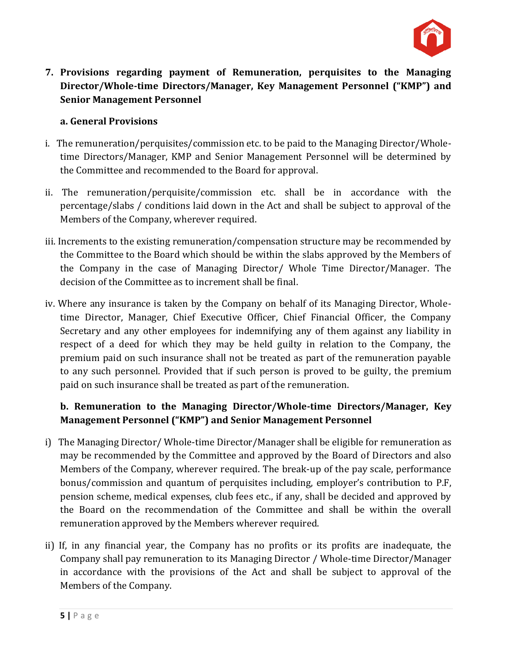

**7. Provisions regarding payment of Remuneration, perquisites to the Managing Director/Whole-time Directors/Manager, Key Management Personnel ("KMP") and Senior Management Personnel**

#### **a. General Provisions**

- i. The remuneration/perquisites/commission etc. to be paid to the Managing Director/Wholetime Directors/Manager, KMP and Senior Management Personnel will be determined by the Committee and recommended to the Board for approval.
- ii. The remuneration/perquisite/commission etc. shall be in accordance with the percentage/slabs / conditions laid down in the Act and shall be subject to approval of the Members of the Company, wherever required.
- iii. Increments to the existing remuneration/compensation structure may be recommended by the Committee to the Board which should be within the slabs approved by the Members of the Company in the case of Managing Director/ Whole Time Director/Manager. The decision of the Committee as to increment shall be final.
- iv. Where any insurance is taken by the Company on behalf of its Managing Director, Wholetime Director, Manager, Chief Executive Officer, Chief Financial Officer, the Company Secretary and any other employees for indemnifying any of them against any liability in respect of a deed for which they may be held guilty in relation to the Company, the premium paid on such insurance shall not be treated as part of the remuneration payable to any such personnel. Provided that if such person is proved to be guilty, the premium paid on such insurance shall be treated as part of the remuneration.

## **b. Remuneration to the Managing Director/Whole-time Directors/Manager, Key Management Personnel ("KMP") and Senior Management Personnel**

- i) The Managing Director/ Whole-time Director/Manager shall be eligible for remuneration as may be recommended by the Committee and approved by the Board of Directors and also Members of the Company, wherever required. The break-up of the pay scale, performance bonus/commission and quantum of perquisites including, employer's contribution to P.F, pension scheme, medical expenses, club fees etc., if any, shall be decided and approved by the Board on the recommendation of the Committee and shall be within the overall remuneration approved by the Members wherever required.
- ii) If, in any financial year, the Company has no profits or its profits are inadequate, the Company shall pay remuneration to its Managing Director / Whole-time Director/Manager in accordance with the provisions of the Act and shall be subject to approval of the Members of the Company.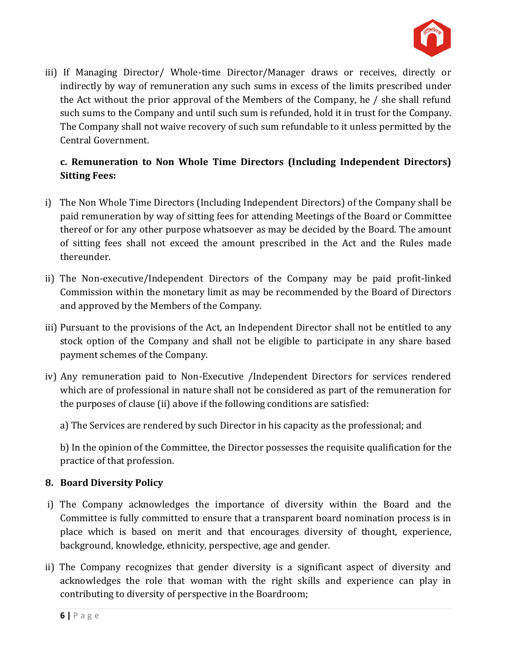

iii) If Managing Director/ Whole-time Director/Manager draws or receives, directly or indirectly by way of remuneration any such sums in excess of the limits prescribed under the Act without the prior approval of the Members of the Company, he / she shall refund such sums to the Company and until such sum is refunded, hold it in trust for the Company. The Company shall not waive recovery of such sum refundable to it unless permitted by the Central Government.

## **c. Remuneration to Non Whole Time Directors (Including Independent Directors) Sitting Fees:**

- i) The Non Whole Time Directors (Including Independent Directors) of the Company shall be paid remuneration by way of sitting fees for attending Meetings of the Board or Committee thereof or for any other purpose whatsoever as may be decided by the Board. The amount of sitting fees shall not exceed the amount prescribed in the Act and the Rules made thereunder.
- ii) The Non-executive/Independent Directors of the Company may be paid profit-linked Commission within the monetary limit as may be recommended by the Board of Directors and approved by the Members of the Company.
- iii) Pursuant to the provisions of the Act, an Independent Director shall not be entitled to any stock option of the Company and shall not be eligible to participate in any share based payment schemes of the Company.
- iv) Any remuneration paid to Non-Executive /Independent Directors for services rendered which are of professional in nature shall not be considered as part of the remuneration for the purposes of clause (ii) above if the following conditions are satisfied:
	- a) The Services are rendered by such Director in his capacity as the professional; and

b) In the opinion of the Committee, the Director possesses the requisite qualification for the practice of that profession.

## **8. Board Diversity Policy**

- i) The Company acknowledges the importance of diversity within the Board and the Committee is fully committed to ensure that a transparent board nomination process is in place which is based on merit and that encourages diversity of thought, experience, background, knowledge, ethnicity, perspective, age and gender.
- ii) The Company recognizes that gender diversity is a significant aspect of diversity and acknowledges the role that woman with the right skills and experience can play in contributing to diversity of perspective in the Boardroom;